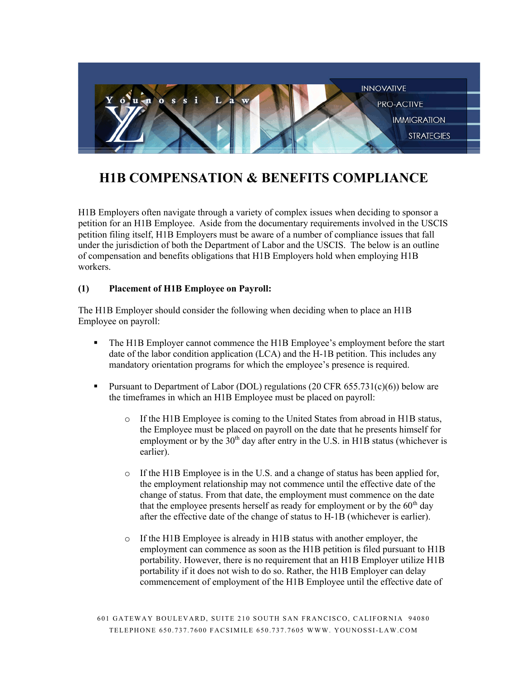

# **H1B COMPENSATION & BENEFITS COMPLIANCE**

H1B Employers often navigate through a variety of complex issues when deciding to sponsor a petition for an H1B Employee. Aside from the documentary requirements involved in the USCIS petition filing itself, H1B Employers must be aware of a number of compliance issues that fall under the jurisdiction of both the Department of Labor and the USCIS. The below is an outline of compensation and benefits obligations that H1B Employers hold when employing H1B workers.

### **(1) Placement of H1B Employee on Payroll:**

The H1B Employer should consider the following when deciding when to place an H1B Employee on payroll:

- § The H1B Employer cannot commence the H1B Employee's employment before the start date of the labor condition application (LCA) and the H-1B petition. This includes any mandatory orientation programs for which the employee's presence is required.
- **•** Pursuant to Department of Labor (DOL) regulations (20 CFR 655.731(c)(6)) below are the timeframes in which an H1B Employee must be placed on payroll:
	- $\circ$  If the H1B Employee is coming to the United States from abroad in H1B status, the Employee must be placed on payroll on the date that he presents himself for employment or by the  $30<sup>th</sup>$  day after entry in the U.S. in H1B status (whichever is earlier).
	- $\circ$  If the H1B Employee is in the U.S. and a change of status has been applied for, the employment relationship may not commence until the effective date of the change of status. From that date, the employment must commence on the date that the employee presents herself as ready for employment or by the  $60<sup>th</sup>$  day after the effective date of the change of status to H-1B (whichever is earlier).
	- o If the H1B Employee is already in H1B status with another employer, the employment can commence as soon as the H1B petition is filed pursuant to H1B portability. However, there is no requirement that an H1B Employer utilize H1B portability if it does not wish to do so. Rather, the H1B Employer can delay commencement of employment of the H1B Employee until the effective date of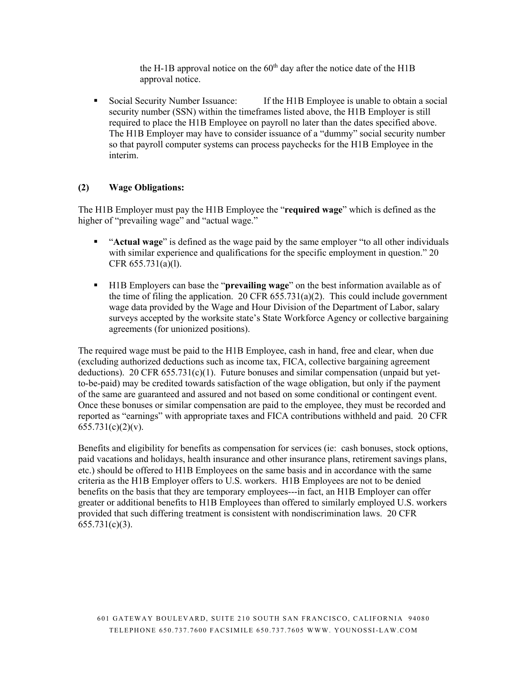the H-1B approval notice on the  $60<sup>th</sup>$  day after the notice date of the H1B approval notice.

§ Social Security Number Issuance: If the H1B Employee is unable to obtain a social security number (SSN) within the timeframes listed above, the H1B Employer is still required to place the H1B Employee on payroll no later than the dates specified above. The H1B Employer may have to consider issuance of a "dummy" social security number so that payroll computer systems can process paychecks for the H1B Employee in the interim.

#### **(2) Wage Obligations:**

The H1B Employer must pay the H1B Employee the "**required wage**" which is defined as the higher of "prevailing wage" and "actual wage."

- § "**Actual wage**" is defined as the wage paid by the same employer "to all other individuals with similar experience and qualifications for the specific employment in question." 20 CFR 655.731(a)(l).
- § H1B Employers can base the "**prevailing wage**" on the best information available as of the time of filing the application. 20 CFR  $655.731(a)(2)$ . This could include government wage data provided by the Wage and Hour Division of the Department of Labor, salary surveys accepted by the worksite state's State Workforce Agency or collective bargaining agreements (for unionized positions).

The required wage must be paid to the H1B Employee, cash in hand, free and clear, when due (excluding authorized deductions such as income tax, FICA, collective bargaining agreement deductions). 20 CFR  $655.731(c)(1)$ . Future bonuses and similar compensation (unpaid but yetto-be-paid) may be credited towards satisfaction of the wage obligation, but only if the payment of the same are guaranteed and assured and not based on some conditional or contingent event. Once these bonuses or similar compensation are paid to the employee, they must be recorded and reported as "earnings" with appropriate taxes and FICA contributions withheld and paid. 20 CFR  $655.731(c)(2)(v)$ .

Benefits and eligibility for benefits as compensation for services (ie: cash bonuses, stock options, paid vacations and holidays, health insurance and other insurance plans, retirement savings plans, etc.) should be offered to H1B Employees on the same basis and in accordance with the same criteria as the H1B Employer offers to U.S. workers. H1B Employees are not to be denied benefits on the basis that they are temporary employees---in fact, an H1B Employer can offer greater or additional benefits to H1B Employees than offered to similarly employed U.S. workers provided that such differing treatment is consistent with nondiscrimination laws. 20 CFR 655.731(c)(3).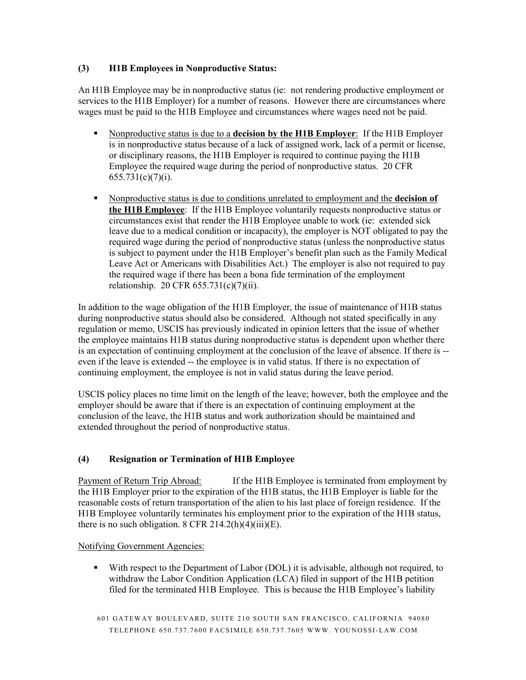## **(3) H1B Employees in Nonproductive Status:**

An H1B Employee may be in nonproductive status (ie: not rendering productive employment or services to the H1B Employer) for a number of reasons. However there are circumstances where wages must be paid to the H1B Employee and circumstances where wages need not be paid.

- § Nonproductive status is due to a **decision by the H1B Employer**: If the H1B Employer is in nonproductive status because of a lack of assigned work, lack of a permit or license, or disciplinary reasons, the H1B Employer is required to continue paying the H1B Employee the required wage during the period of nonproductive status. 20 CFR  $655.731(c)(7)(i)$ .
- § Nonproductive status is due to conditions unrelated to employment and the **decision of the H1B Employee**: If the H1B Employee voluntarily requests nonproductive status or circumstances exist that render the H1B Employee unable to work (ie: extended sick leave due to a medical condition or incapacity), the employer is NOT obligated to pay the required wage during the period of nonproductive status (unless the nonproductive status is subject to payment under the H1B Employer's benefit plan such as the Family Medical Leave Act or Americans with Disabilities Act.) The employer is also not required to pay the required wage if there has been a bona fide termination of the employment relationship. 20 CFR 655.731(c)(7)(ii).

In addition to the wage obligation of the H1B Employer, the issue of maintenance of H1B status during nonproductive status should also be considered. Although not stated specifically in any regulation or memo, USCIS has previously indicated in opinion letters that the issue of whether the employee maintains H1B status during nonproductive status is dependent upon whether there is an expectation of continuing employment at the conclusion of the leave of absence. If there is - even if the leave is extended -- the employee is in valid status. If there is no expectation of continuing employment, the employee is not in valid status during the leave period.

USCIS policy places no time limit on the length of the leave; however, both the employee and the employer should be aware that if there is an expectation of continuing employment at the conclusion of the leave, the H1B status and work authorization should be maintained and extended throughout the period of nonproductive status.

## **(4) Resignation or Termination of H1B Employee**

Payment of Return Trip Abroad: If the H1B Employee is terminated from employment by the H1B Employer prior to the expiration of the H1B status, the H1B Employer is liable for the reasonable costs of return transportation of the alien to his last place of foreign residence. If the H1B Employee voluntarily terminates his employment prior to the expiration of the H1B status, there is no such obligation. 8 CFR 214.2(h)(4)(iii)(E).

Notifying Government Agencies:

• With respect to the Department of Labor (DOL) it is advisable, although not required, to withdraw the Labor Condition Application (LCA) filed in support of the H1B petition filed for the terminated H1B Employee. This is because the H1B Employee's liability